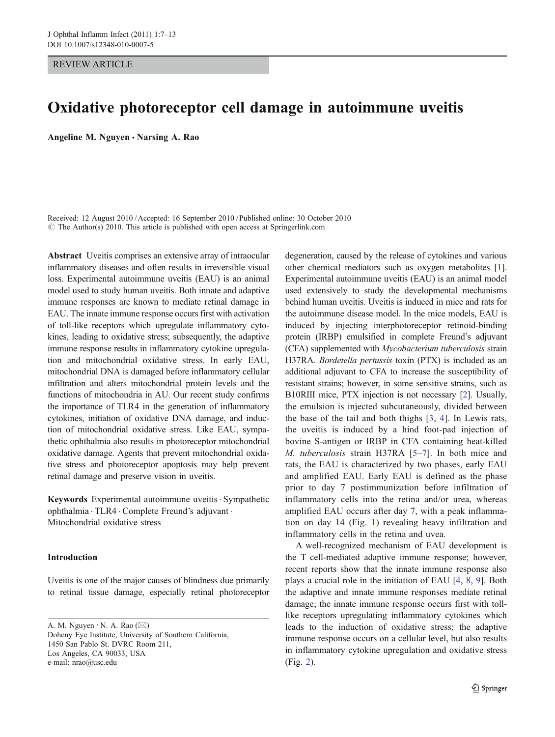### REVIEW ARTICLE

# Oxidative photoreceptor cell damage in autoimmune uveitis

Angeline M. Nguyen · Narsing A. Rao

Received: 12 August 2010 /Accepted: 16 September 2010 / Published online: 30 October 2010  $\odot$  The Author(s) 2010. This article is published with open access at Springerlink.com

Abstract Uveitis comprises an extensive array of intraocular inflammatory diseases and often results in irreversible visual loss. Experimental autoimmune uveitis (EAU) is an animal model used to study human uveitis. Both innate and adaptive immune responses are known to mediate retinal damage in EAU. The innate immune response occurs first with activation of toll-like receptors which upregulate inflammatory cytokines, leading to oxidative stress; subsequently, the adaptive immune response results in inflammatory cytokine upregulation and mitochondrial oxidative stress. In early EAU, mitochondrial DNA is damaged before inflammatory cellular infiltration and alters mitochondrial protein levels and the functions of mitochondria in AU. Our recent study confirms the importance of TLR4 in the generation of inflammatory cytokines, initiation of oxidative DNA damage, and induction of mitochondrial oxidative stress. Like EAU, sympathetic ophthalmia also results in photoreceptor mitochondrial oxidative damage. Agents that prevent mitochondrial oxidative stress and photoreceptor apoptosis may help prevent retinal damage and preserve vision in uveitis.

Keywords Experimental autoimmune uveitis · Sympathetic ophthalmia . TLR4 . Complete Freund's adjuvant . Mitochondrial oxidative stress

### Introduction

Uveitis is one of the major causes of blindness due primarily to retinal tissue damage, especially retinal photoreceptor

A. M. Nguyen  $\cdot$  N. A. Rao ( $\boxtimes$ ) Doheny Eye Institute, University of Southern California, 1450 San Pablo St. DVRC Room 211, Los Angeles, CA 90033, USA e-mail: nrao@usc.edu

degeneration, caused by the release of cytokines and various other chemical mediators such as oxygen metabolites [[1\]](#page-5-0). Experimental autoimmune uveitis (EAU) is an animal model used extensively to study the developmental mechanisms behind human uveitis. Uveitis is induced in mice and rats for the autoimmune disease model. In the mice models, EAU is induced by injecting interphotoreceptor retinoid-binding protein (IRBP) emulsified in complete Freund's adjuvant (CFA) supplemented with Mycobacterium tuberculosis strain H37RA. Bordetella pertussis toxin (PTX) is included as an additional adjuvant to CFA to increase the susceptibility of resistant strains; however, in some sensitive strains, such as B10RIII mice, PTX injection is not necessary [[2\]](#page-5-0). Usually, the emulsion is injected subcutaneously, divided between the base of the tail and both thighs [[3,](#page-5-0) [4](#page-5-0)]. In Lewis rats, the uveitis is induced by a hind foot-pad injection of bovine S-antigen or IRBP in CFA containing heat-killed M. tuberculosis strain H37RA [[5](#page-5-0)–[7](#page-5-0)]. In both mice and rats, the EAU is characterized by two phases, early EAU and amplified EAU. Early EAU is defined as the phase prior to day 7 postimmunization before infiltration of inflammatory cells into the retina and/or urea, whereas amplified EAU occurs after day 7, with a peak inflammation on day 14 (Fig. [1\)](#page-1-0) revealing heavy infiltration and inflammatory cells in the retina and uvea.

A well-recognized mechanism of EAU development is the T cell-mediated adaptive immune response; however, recent reports show that the innate immune response also plays a crucial role in the initiation of EAU [[4,](#page-5-0) [8](#page-5-0), [9\]](#page-5-0). Both the adaptive and innate immune responses mediate retinal damage; the innate immune response occurs first with tolllike receptors upregulating inflammatory cytokines which leads to the induction of oxidative stress; the adaptive immune response occurs on a cellular level, but also results in inflammatory cytokine upregulation and oxidative stress (Fig. [2](#page-1-0)).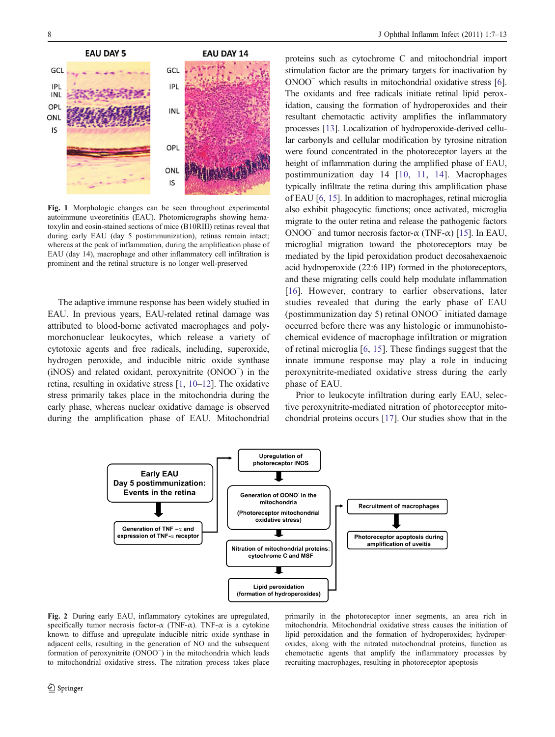<span id="page-1-0"></span>

Fig. 1 Morphologic changes can be seen throughout experimental autoimmune uveoretinitis (EAU). Photomicrographs showing hematoxylin and eosin-stained sections of mice (B10RIII) retinas reveal that during early EAU (day 5 postimmunization), retinas remain intact; whereas at the peak of inflammation, during the amplification phase of EAU (day 14), macrophage and other inflammatory cell infiltration is prominent and the retinal structure is no longer well-preserved

The adaptive immune response has been widely studied in EAU. In previous years, EAU-related retinal damage was attributed to blood-borne activated macrophages and polymorchonuclear leukocytes, which release a variety of cytotoxic agents and free radicals, including, superoxide, hydrogen peroxide, and inducible nitric oxide synthase (iNOS) and related oxidant, peroxynitrite (ONOO<sup>−</sup> ) in the retina, resulting in oxidative stress [[1,](#page-5-0) [10](#page-5-0)–[12](#page-5-0)]. The oxidative stress primarily takes place in the mitochondria during the early phase, whereas nuclear oxidative damage is observed during the amplification phase of EAU. Mitochondrial

proteins such as cytochrome C and mitochondrial import stimulation factor are the primary targets for inactivation by ONOO<sup>−</sup> which results in mitochondrial oxidative stress [[6\]](#page-5-0). The oxidants and free radicals initiate retinal lipid peroxidation, causing the formation of hydroperoxides and their resultant chemotactic activity amplifies the inflammatory processes [\[13](#page-5-0)]. Localization of hydroperoxide-derived cellular carbonyls and cellular modification by tyrosine nitration were found concentrated in the photoreceptor layers at the height of inflammation during the amplified phase of EAU, postimmunization day 14 [[10](#page-5-0), [11](#page-5-0), [14\]](#page-5-0). Macrophages typically infiltrate the retina during this amplification phase of EAU [\[6](#page-5-0), [15\]](#page-5-0). In addition to macrophages, retinal microglia also exhibit phagocytic functions; once activated, microglia migrate to the outer retina and release the pathogenic factors ONOO<sup> $-$ </sup> and tumor necrosis factor-α (TNF-α) [[15\]](#page-5-0). In EAU, microglial migration toward the photoreceptors may be mediated by the lipid peroxidation product decosahexaenoic acid hydroperoxide (22:6 HP) formed in the photoreceptors, and these migrating cells could help modulate inflammation [\[16](#page-5-0)]. However, contrary to earlier observations, later studies revealed that during the early phase of EAU (postimmunization day 5) retinal ONOO<sup>−</sup> initiated damage occurred before there was any histologic or immunohistochemical evidence of macrophage infiltration or migration of retinal microglia [[6](#page-5-0), [15](#page-5-0)]. These findings suggest that the innate immune response may play a role in inducing peroxynitrite-mediated oxidative stress during the early phase of EAU.

Prior to leukocyte infiltration during early EAU, selective peroxynitrite-mediated nitration of photoreceptor mitochondrial proteins occurs [[17\]](#page-5-0). Our studies show that in the



Fig. 2 During early EAU, inflammatory cytokines are upregulated, specifically tumor necrosis factor- $\alpha$  (TNF- $\alpha$ ). TNF- $\alpha$  is a cytokine known to diffuse and upregulate inducible nitric oxide synthase in adjacent cells, resulting in the generation of NO and the subsequent formation of peroxynitrite (ONOO<sup>−</sup> ) in the mitochondria which leads to mitochondrial oxidative stress. The nitration process takes place

primarily in the photoreceptor inner segments, an area rich in mitochondria. Mitochondrial oxidative stress causes the initiation of lipid peroxidation and the formation of hydroperoxides; hydroperoxides, along with the nitrated mitochondrial proteins, function as chemotactic agents that amplify the inflammatory processes by recruiting macrophages, resulting in photoreceptor apoptosis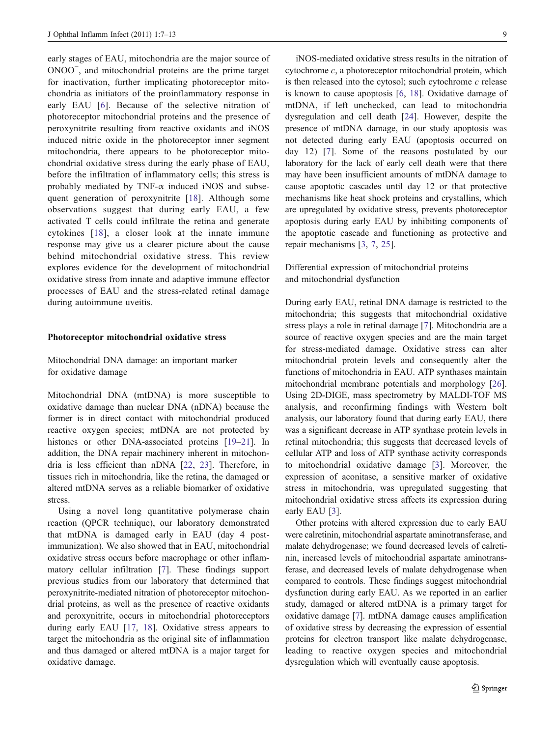early stages of EAU, mitochondria are the major source of ONOO<sup>-</sup>, and mitochondrial proteins are the prime target for inactivation, further implicating photoreceptor mitochondria as initiators of the proinflammatory response in early EAU [[6\]](#page-5-0). Because of the selective nitration of photoreceptor mitochondrial proteins and the presence of peroxynitrite resulting from reactive oxidants and iNOS induced nitric oxide in the photoreceptor inner segment mitochondria, there appears to be photoreceptor mitochondrial oxidative stress during the early phase of EAU, before the infiltration of inflammatory cells; this stress is probably mediated by TNF- $\alpha$  induced iNOS and subsequent generation of peroxynitrite [\[18\]](#page-5-0). Although some observations suggest that during early EAU, a few activated T cells could infiltrate the retina and generate cytokines [[18](#page-5-0)], a closer look at the innate immune response may give us a clearer picture about the cause behind mitochondrial oxidative stress. This review explores evidence for the development of mitochondrial oxidative stress from innate and adaptive immune effector processes of EAU and the stress-related retinal damage during autoimmune uveitis.

#### Photoreceptor mitochondrial oxidative stress

Mitochondrial DNA damage: an important marker for oxidative damage

Mitochondrial DNA (mtDNA) is more susceptible to oxidative damage than nuclear DNA (nDNA) because the former is in direct contact with mitochondrial produced reactive oxygen species; mtDNA are not protected by histones or other DNA-associated proteins [[19](#page-5-0)–[21\]](#page-5-0). In addition, the DNA repair machinery inherent in mitochondria is less efficient than nDNA [[22,](#page-5-0) [23](#page-5-0)]. Therefore, in tissues rich in mitochondria, like the retina, the damaged or altered mtDNA serves as a reliable biomarker of oxidative stress.

Using a novel long quantitative polymerase chain reaction (QPCR technique), our laboratory demonstrated that mtDNA is damaged early in EAU (day 4 postimmunization). We also showed that in EAU, mitochondrial oxidative stress occurs before macrophage or other inflammatory cellular infiltration [\[7](#page-5-0)]. These findings support previous studies from our laboratory that determined that peroxynitrite-mediated nitration of photoreceptor mitochondrial proteins, as well as the presence of reactive oxidants and peroxynitrite, occurs in mitochondrial photoreceptors during early EAU [[17,](#page-5-0) [18\]](#page-5-0). Oxidative stress appears to target the mitochondria as the original site of inflammation and thus damaged or altered mtDNA is a major target for oxidative damage.

iNOS-mediated oxidative stress results in the nitration of cytochrome  $c$ , a photoreceptor mitochondrial protein, which is then released into the cytosol; such cytochrome  $c$  release is known to cause apoptosis [\[6](#page-5-0), [18\]](#page-5-0). Oxidative damage of mtDNA, if left unchecked, can lead to mitochondria dysregulation and cell death [\[24](#page-5-0)]. However, despite the presence of mtDNA damage, in our study apoptosis was not detected during early EAU (apoptosis occurred on day 12) [\[7](#page-5-0)]. Some of the reasons postulated by our laboratory for the lack of early cell death were that there may have been insufficient amounts of mtDNA damage to cause apoptotic cascades until day 12 or that protective mechanisms like heat shock proteins and crystallins, which are upregulated by oxidative stress, prevents photoreceptor apoptosis during early EAU by inhibiting components of the apoptotic cascade and functioning as protective and repair mechanisms [[3,](#page-5-0) [7](#page-5-0), [25](#page-5-0)].

Differential expression of mitochondrial proteins and mitochondrial dysfunction

During early EAU, retinal DNA damage is restricted to the mitochondria; this suggests that mitochondrial oxidative stress plays a role in retinal damage [[7\]](#page-5-0). Mitochondria are a source of reactive oxygen species and are the main target for stress-mediated damage. Oxidative stress can alter mitochondrial protein levels and consequently alter the functions of mitochondria in EAU. ATP synthases maintain mitochondrial membrane potentials and morphology [[26\]](#page-5-0). Using 2D-DIGE, mass spectrometry by MALDI-TOF MS analysis, and reconfirming findings with Western bolt analysis, our laboratory found that during early EAU, there was a significant decrease in ATP synthase protein levels in retinal mitochondria; this suggests that decreased levels of cellular ATP and loss of ATP synthase activity corresponds to mitochondrial oxidative damage [[3\]](#page-5-0). Moreover, the expression of aconitase, a sensitive marker of oxidative stress in mitochondria, was upregulated suggesting that mitochondrial oxidative stress affects its expression during early EAU [[3\]](#page-5-0).

Other proteins with altered expression due to early EAU were calretinin, mitochondrial aspartate aminotransferase, and malate dehydrogenase; we found decreased levels of calretinin, increased levels of mitochondrial aspartate aminotransferase, and decreased levels of malate dehydrogenase when compared to controls. These findings suggest mitochondrial dysfunction during early EAU. As we reported in an earlier study, damaged or altered mtDNA is a primary target for oxidative damage [\[7](#page-5-0)]. mtDNA damage causes amplification of oxidative stress by decreasing the expression of essential proteins for electron transport like malate dehydrogenase, leading to reactive oxygen species and mitochondrial dysregulation which will eventually cause apoptosis.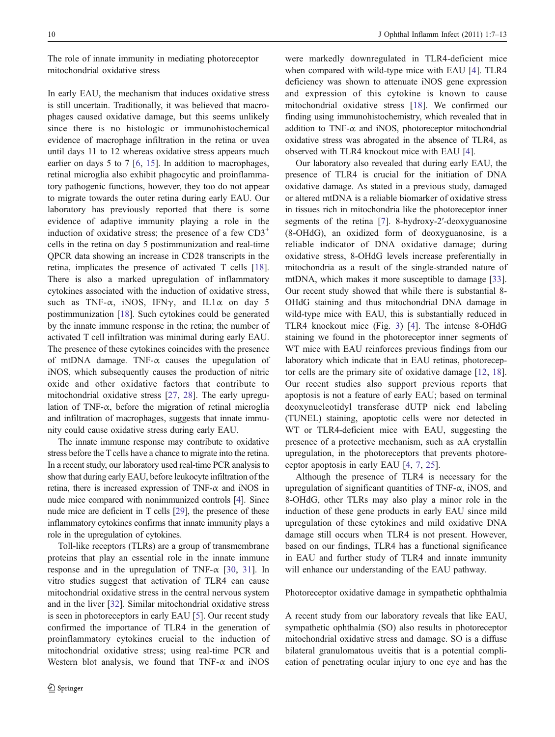The role of innate immunity in mediating photoreceptor mitochondrial oxidative stress

In early EAU, the mechanism that induces oxidative stress is still uncertain. Traditionally, it was believed that macrophages caused oxidative damage, but this seems unlikely since there is no histologic or immunohistochemical evidence of macrophage infiltration in the retina or uvea until days 11 to 12 whereas oxidative stress appears much earlier on days 5 to 7 [[6,](#page-5-0) [15\]](#page-5-0). In addition to macrophages, retinal microglia also exhibit phagocytic and proinflammatory pathogenic functions, however, they too do not appear to migrate towards the outer retina during early EAU. Our laboratory has previously reported that there is some evidence of adaptive immunity playing a role in the induction of oxidative stress; the presence of a few  $CD3^+$ cells in the retina on day 5 postimmunization and real-time QPCR data showing an increase in CD28 transcripts in the retina, implicates the presence of activated T cells [\[18](#page-5-0)]. There is also a marked upregulation of inflammatory cytokines associated with the induction of oxidative stress, such as TNF- $\alpha$ , iNOS, IFN $\gamma$ , and IL1 $\alpha$  on day 5 postimmunization [\[18](#page-5-0)]. Such cytokines could be generated by the innate immune response in the retina; the number of activated T cell infiltration was minimal during early EAU. The presence of these cytokines coincides with the presence of mtDNA damage. TNF- $\alpha$  causes the upegulation of iNOS, which subsequently causes the production of nitric oxide and other oxidative factors that contribute to mitochondrial oxidative stress [\[27](#page-5-0), [28\]](#page-5-0). The early upregulation of TNF- $\alpha$ , before the migration of retinal microglia and infiltration of macrophages, suggests that innate immunity could cause oxidative stress during early EAU.

The innate immune response may contribute to oxidative stress before the T cells have a chance to migrate into the retina. In a recent study, our laboratory used real-time PCR analysis to show that during early EAU, before leukocyte infiltration of the retina, there is increased expression of TNF- $\alpha$  and iNOS in nude mice compared with nonimmunized controls [[4\]](#page-5-0). Since nude mice are deficient in T cells [[29](#page-5-0)], the presence of these inflammatory cytokines confirms that innate immunity plays a role in the upregulation of cytokines.

Toll-like receptors (TLRs) are a group of transmembrane proteins that play an essential role in the innate immune response and in the upregulation of TNF- $\alpha$  [\[30](#page-5-0), [31](#page-5-0)]. In vitro studies suggest that activation of TLR4 can cause mitochondrial oxidative stress in the central nervous system and in the liver [\[32](#page-6-0)]. Similar mitochondrial oxidative stress is seen in photoreceptors in early EAU [[5\]](#page-5-0). Our recent study confirmed the importance of TLR4 in the generation of proinflammatory cytokines crucial to the induction of mitochondrial oxidative stress; using real-time PCR and Western blot analysis, we found that  $TNF-\alpha$  and  $NOS$ 

were markedly downregulated in TLR4-deficient mice when compared with wild-type mice with EAU [\[4](#page-5-0)]. TLR4 deficiency was shown to attenuate iNOS gene expression and expression of this cytokine is known to cause mitochondrial oxidative stress [[18\]](#page-5-0). We confirmed our finding using immunohistochemistry, which revealed that in addition to TNF- $\alpha$  and iNOS, photoreceptor mitochondrial oxidative stress was abrogated in the absence of TLR4, as observed with TLR4 knockout mice with EAU [\[4\]](#page-5-0).

Our laboratory also revealed that during early EAU, the presence of TLR4 is crucial for the initiation of DNA oxidative damage. As stated in a previous study, damaged or altered mtDNA is a reliable biomarker of oxidative stress in tissues rich in mitochondria like the photoreceptor inner segments of the retina [[7\]](#page-5-0). 8-hydroxy-2'-deoxyguanosine (8-OHdG), an oxidized form of deoxyguanosine, is a reliable indicator of DNA oxidative damage; during oxidative stress, 8-OHdG levels increase preferentially in mitochondria as a result of the single-stranded nature of mtDNA, which makes it more susceptible to damage [[33\]](#page-6-0). Our recent study showed that while there is substantial 8- OHdG staining and thus mitochondrial DNA damage in wild-type mice with EAU, this is substantially reduced in TLR4 knockout mice (Fig. [3](#page-4-0)) [[4\]](#page-5-0). The intense 8-OHdG staining we found in the photoreceptor inner segments of WT mice with EAU reinforces previous findings from our laboratory which indicate that in EAU retinas, photoreceptor cells are the primary site of oxidative damage [[12,](#page-5-0) [18\]](#page-5-0). Our recent studies also support previous reports that apoptosis is not a feature of early EAU; based on terminal deoxynucleotidyl transferase dUTP nick end labeling (TUNEL) staining, apoptotic cells were nor detected in WT or TLR4-deficient mice with EAU, suggesting the presence of a protective mechanism, such as  $\alpha A$  crystallin upregulation, in the photoreceptors that prevents photoreceptor apoptosis in early EAU [[4,](#page-5-0) [7](#page-5-0), [25](#page-5-0)].

Although the presence of TLR4 is necessary for the upregulation of significant quantities of TNF- $\alpha$ , iNOS, and 8-OHdG, other TLRs may also play a minor role in the induction of these gene products in early EAU since mild upregulation of these cytokines and mild oxidative DNA damage still occurs when TLR4 is not present. However, based on our findings, TLR4 has a functional significance in EAU and further study of TLR4 and innate immunity will enhance our understanding of the EAU pathway.

Photoreceptor oxidative damage in sympathetic ophthalmia

A recent study from our laboratory reveals that like EAU, sympathetic ophthalmia (SO) also results in photoreceptor mitochondrial oxidative stress and damage. SO is a diffuse bilateral granulomatous uveitis that is a potential complication of penetrating ocular injury to one eye and has the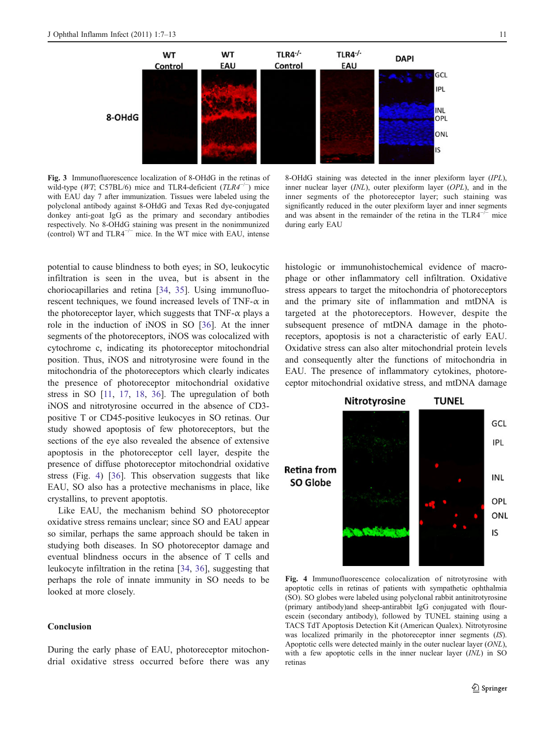<span id="page-4-0"></span>

Fig. 3 Immunofluorescence localization of 8-OHdG in the retinas of wild-type (WT; C57BL/6) mice and TLR4-deficient ( $TLR4^{-/-}$ ) mice with EAU day 7 after immunization. Tissues were labeled using the polyclonal antibody against 8-OHdG and Texas Red dye-conjugated donkey anti-goat IgG as the primary and secondary antibodies respectively. No 8-OHdG staining was present in the nonimmunized (control) WT and  $TLR4^{-/-}$  mice. In the WT mice with EAU, intense

8-OHdG staining was detected in the inner plexiform layer (IPL), inner nuclear layer (INL), outer plexiform layer (OPL), and in the inner segments of the photoreceptor layer; such staining was significantly reduced in the outer plexiform layer and inner segments and was absent in the remainder of the retina in the TLR4−/<sup>−</sup> mice during early EAU

potential to cause blindness to both eyes; in SO, leukocytic infiltration is seen in the uvea, but is absent in the choriocapillaries and retina [[34,](#page-6-0) [35](#page-6-0)]. Using immunofluorescent techniques, we found increased levels of TNF- $\alpha$  in the photoreceptor layer, which suggests that TNF- $\alpha$  plays a role in the induction of iNOS in SO [[36\]](#page-6-0). At the inner segments of the photoreceptors, iNOS was colocalized with cytochrome c, indicating its photoreceptor mitochondrial position. Thus, iNOS and nitrotyrosine were found in the mitochondria of the photoreceptors which clearly indicates the presence of photoreceptor mitochondrial oxidative stress in SO [\[11,](#page-5-0) [17](#page-5-0), [18](#page-5-0), [36\]](#page-6-0). The upregulation of both iNOS and nitrotyrosine occurred in the absence of CD3 positive T or CD45-positive leukocyes in SO retinas. Our study showed apoptosis of few photoreceptors, but the sections of the eye also revealed the absence of extensive apoptosis in the photoreceptor cell layer, despite the presence of diffuse photoreceptor mitochondrial oxidative stress (Fig. 4) [\[36](#page-6-0)]. This observation suggests that like EAU, SO also has a protective mechanisms in place, like crystallins, to prevent apoptotis.

Like EAU, the mechanism behind SO photoreceptor oxidative stress remains unclear; since SO and EAU appear so similar, perhaps the same approach should be taken in studying both diseases. In SO photoreceptor damage and eventual blindness occurs in the absence of T cells and leukocyte infiltration in the retina [[34,](#page-6-0) [36\]](#page-6-0), suggesting that perhaps the role of innate immunity in SO needs to be looked at more closely.

## **Conclusion**

During the early phase of EAU, photoreceptor mitochondrial oxidative stress occurred before there was any histologic or immunohistochemical evidence of macrophage or other inflammatory cell infiltration. Oxidative stress appears to target the mitochondria of photoreceptors and the primary site of inflammation and mtDNA is targeted at the photoreceptors. However, despite the subsequent presence of mtDNA damage in the photoreceptors, apoptosis is not a characteristic of early EAU. Oxidative stress can also alter mitochondrial protein levels and consequently alter the functions of mitochondria in EAU. The presence of inflammatory cytokines, photoreceptor mitochondrial oxidative stress, and mtDNA damage



Fig. 4 Immunofluorescence colocalization of nitrotyrosine with apoptotic cells in retinas of patients with sympathetic ophthalmia (SO). SO globes were labeled using polyclonal rabbit antinitrotyrosine (primary antibody)and sheep-antirabbit IgG conjugated with flourescein (secondary antibody), followed by TUNEL staining using a TACS TdT Apoptosis Detection Kit (American Qualex). Nitrotyrosine was localized primarily in the photoreceptor inner segments (IS). Apoptotic cells were detected mainly in the outer nuclear layer (ONL), with a few apoptotic cells in the inner nuclear layer *(INL)* in SO retinas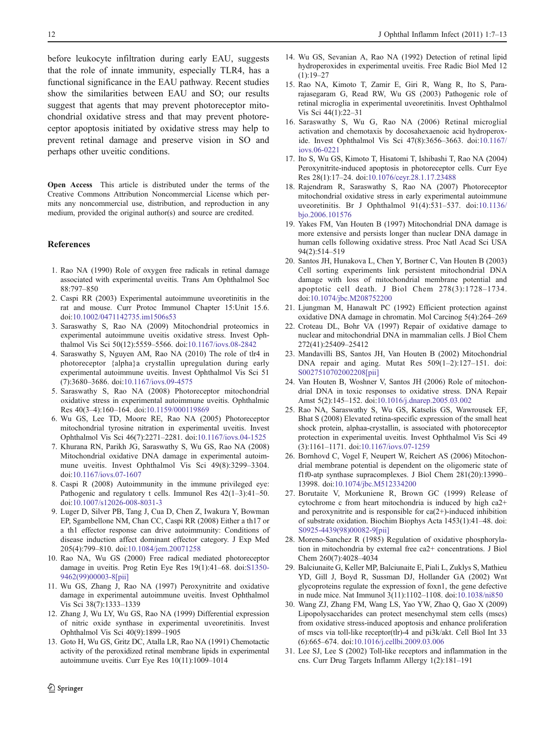<span id="page-5-0"></span>before leukocyte infiltration during early EAU, suggests that the role of innate immunity, especially TLR4, has a functional significance in the EAU pathway. Recent studies show the similarities between EAU and SO; our results suggest that agents that may prevent photoreceptor mitochondrial oxidative stress and that may prevent photoreceptor apoptosis initiated by oxidative stress may help to prevent retinal damage and preserve vision in SO and perhaps other uveitic conditions.

Open Access This article is distributed under the terms of the Creative Commons Attribution Noncommercial License which permits any noncommercial use, distribution, and reproduction in any medium, provided the original author(s) and source are credited.

#### References

- 1. Rao NA (1990) Role of oxygen free radicals in retinal damage associated with experimental uveitis. Trans Am Ophthalmol Soc 88:797–850
- 2. Caspi RR (2003) Experimental autoimmune uveoretinitis in the rat and mouse. Curr Protoc Immunol Chapter 15:Unit 15.6. doi[:10.1002/0471142735.im1506s53](http://dx.doi.org/10.1002/0471142735.im1506s53)
- 3. Saraswathy S, Rao NA (2009) Mitochondrial proteomics in experimental autoimmune uveitis oxidative stress. Invest Ophthalmol Vis Sci 50(12):5559–5566. doi:[10.1167/iovs.08-2842](http://dx.doi.org/10.1167/iovs.08-2842)
- 4. Saraswathy S, Nguyen AM, Rao NA (2010) The role of tlr4 in photoreceptor {alpha}a crystallin upregulation during early experimental autoimmune uveitis. Invest Ophthalmol Vis Sci 51 (7):3680–3686. doi[:10.1167/iovs.09-4575](http://dx.doi.org/10.1167/iovs.09-4575)
- 5. Saraswathy S, Rao NA (2008) Photoreceptor mitochondrial oxidative stress in experimental autoimmune uveitis. Ophthalmic Res 40(3–4):160–164. doi[:10.1159/000119869](http://dx.doi.org/10.1159/000119869)
- 6. Wu GS, Lee TD, Moore RE, Rao NA (2005) Photoreceptor mitochondrial tyrosine nitration in experimental uveitis. Invest Ophthalmol Vis Sci 46(7):2271–2281. doi:[10.1167/iovs.04-1525](http://dx.doi.org/10.1167/iovs.04-1525)
- 7. Khurana RN, Parikh JG, Saraswathy S, Wu GS, Rao NA (2008) Mitochondrial oxidative DNA damage in experimental autoimmune uveitis. Invest Ophthalmol Vis Sci 49(8):3299–3304. doi[:10.1167/iovs.07-1607](http://dx.doi.org/10.1167/iovs.07-1607)
- 8. Caspi R (2008) Autoimmunity in the immune privileged eye: Pathogenic and regulatory t cells. Immunol Res 42(1–3):41–50. doi[:10.1007/s12026-008-8031-3](http://dx.doi.org/10.1007/s12026-008-8031-3)
- 9. Luger D, Silver PB, Tang J, Cua D, Chen Z, Iwakura Y, Bowman EP, Sgambellone NM, Chan CC, Caspi RR (2008) Either a th17 or a th1 effector response can drive autoimmunity: Conditions of disease induction affect dominant effector category. J Exp Med 205(4):799–810. doi[:10.1084/jem.20071258](http://dx.doi.org/10.1084/jem.20071258)
- 10. Rao NA, Wu GS (2000) Free radical mediated photoreceptor damage in uveitis. Prog Retin Eye Res 19(1):41–68. doi:[S1350-](http://dx.doi.org/S1350-9462(99)00003-8<pii>) [9462\(99\)00003-8\[pii\]](http://dx.doi.org/S1350-9462(99)00003-8<pii>)
- 11. Wu GS, Zhang J, Rao NA (1997) Peroxynitrite and oxidative damage in experimental autoimmune uveitis. Invest Ophthalmol Vis Sci 38(7):1333–1339
- 12. Zhang J, Wu LY, Wu GS, Rao NA (1999) Differential expression of nitric oxide synthase in experimental uveoretinitis. Invest Ophthalmol Vis Sci 40(9):1899–1905
- 13. Goto H, Wu GS, Gritz DC, Atalla LR, Rao NA (1991) Chemotactic activity of the peroxidized retinal membrane lipids in experimental autoimmune uveitis. Curr Eye Res 10(11):1009–1014
- 14. Wu GS, Sevanian A, Rao NA (1992) Detection of retinal lipid hydroperoxides in experimental uveitis. Free Radic Biol Med 12  $(1):19-27$
- 15. Rao NA, Kimoto T, Zamir E, Giri R, Wang R, Ito S, Pararajasegaram G, Read RW, Wu GS (2003) Pathogenic role of retinal microglia in experimental uveoretinitis. Invest Ophthalmol Vis Sci 44(1):22–31
- 16. Saraswathy S, Wu G, Rao NA (2006) Retinal microglial activation and chemotaxis by docosahexaenoic acid hydroperoxide. Invest Ophthalmol Vis Sci 47(8):3656–3663. doi:[10.1167/](http://dx.doi.org/10.1167/iovs.06-0221) [iovs.06-0221](http://dx.doi.org/10.1167/iovs.06-0221)
- 17. Ito S, Wu GS, Kimoto T, Hisatomi T, Ishibashi T, Rao NA (2004) Peroxynitrite-induced apoptosis in photoreceptor cells. Curr Eye Res 28(1):17–24. doi[:10.1076/ceyr.28.1.17.23488](http://dx.doi.org/10.1076/ceyr.28.1.17.23488)
- 18. Rajendram R, Saraswathy S, Rao NA (2007) Photoreceptor mitochondrial oxidative stress in early experimental autoimmune uveoretinitis. Br J Ophthalmol 91(4):531–537. doi:[10.1136/](http://dx.doi.org/10.1136/bjo.2006.101576) [bjo.2006.101576](http://dx.doi.org/10.1136/bjo.2006.101576)
- 19. Yakes FM, Van Houten B (1997) Mitochondrial DNA damage is more extensive and persists longer than nuclear DNA damage in human cells following oxidative stress. Proc Natl Acad Sci USA 94(2):514–519
- 20. Santos JH, Hunakova L, Chen Y, Bortner C, Van Houten B (2003) Cell sorting experiments link persistent mitochondrial DNA damage with loss of mitochondrial membrane potential and apoptotic cell death. J Biol Chem 278(3):1728–1734. doi[:10.1074/jbc.M208752200](http://dx.doi.org/10.1074/jbc.M208752200)
- 21. Ljungman M, Hanawalt PC (1992) Efficient protection against oxidative DNA damage in chromatin. Mol Carcinog 5(4):264–269
- 22. Croteau DL, Bohr VA (1997) Repair of oxidative damage to nuclear and mitochondrial DNA in mammalian cells. J Biol Chem 272(41):25409–25412
- 23. Mandavilli BS, Santos JH, Van Houten B (2002) Mitochondrial DNA repair and aging. Mutat Res 509(1–2):127–151. doi: [S0027510702002208\[pii\]](http://dx.doi.org/S0027510702002208<pii>)
- 24. Van Houten B, Woshner V, Santos JH (2006) Role of mitochondrial DNA in toxic responses to oxidative stress. DNA Repair Amst 5(2):145–152. doi:[10.1016/j.dnarep.2005.03.002](http://dx.doi.org/10.1016/j.dnarep.2005.03.002)
- 25. Rao NA, Saraswathy S, Wu GS, Katselis GS, Wawrousek EF, Bhat S (2008) Elevated retina-specific expression of the small heat shock protein, alphaa-crystallin, is associated with photoreceptor protection in experimental uveitis. Invest Ophthalmol Vis Sci 49 (3):1161–1171. doi:[10.1167/iovs.07-1259](http://dx.doi.org/10.1167/iovs.07-1259)
- 26. Bornhovd C, Vogel F, Neupert W, Reichert AS (2006) Mitochondrial membrane potential is dependent on the oligomeric state of f1f0-atp synthase supracomplexes. J Biol Chem 281(20):13990– 13998. doi[:10.1074/jbc.M512334200](http://dx.doi.org/10.1074/jbc.M512334200)
- 27. Borutaite V, Morkuniene R, Brown GC (1999) Release of cytochrome c from heart mitochondria is induced by high ca2+ and peroxynitrite and is responsible for  $ca(2+)$ -induced inhibition of substrate oxidation. Biochim Biophys Acta 1453(1):41–48. doi: [S0925-4439\(98\)00082-9\[pii\]](http://dx.doi.org/S0925-4439(98)00082-9<pii>)
- 28. Moreno-Sanchez R (1985) Regulation of oxidative phosphorylation in mitochondria by external free ca2+ concentrations. J Biol Chem 260(7):4028–4034
- 29. Balciunaite G, Keller MP, Balciunaite E, Piali L, Zuklys S, Mathieu YD, Gill J, Boyd R, Sussman DJ, Hollander GA (2002) Wnt glycoproteins regulate the expression of foxn1, the gene defective in nude mice. Nat Immunol 3(11):1102–1108. doi:[10.1038/ni850](http://dx.doi.org/10.1038/ni850)
- 30. Wang ZJ, Zhang FM, Wang LS, Yao YW, Zhao Q, Gao X (2009) Lipopolysaccharides can protect mesenchymal stem cells (mscs) from oxidative stress-induced apoptosis and enhance proliferation of mscs via toll-like receptor(tlr)-4 and pi3k/akt. Cell Biol Int 33 (6):665–674. doi:[10.1016/j.cellbi.2009.03.006](http://dx.doi.org/10.1016/j.cellbi.2009.03.006)
- 31. Lee SJ, Lee S (2002) Toll-like receptors and inflammation in the cns. Curr Drug Targets Inflamm Allergy 1(2):181–191